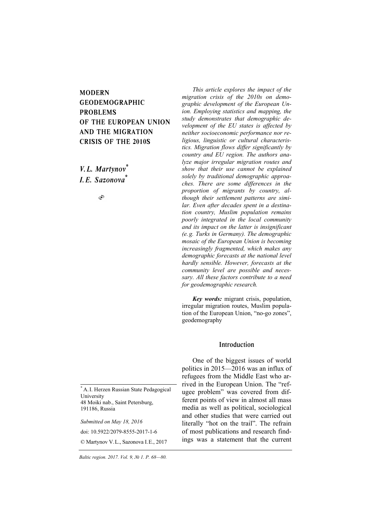# MODERN GEODEMOGRAPHIC PROBLEMS OF THE EUROPEAN UNION AND THE MIGRATION CRISIS OF THE 2010S

*V. L. Martynov\* I. E. Sazonova\**

Ò

\* A.I. Herzen Russian State Pedagogical University 48 Moiki nab., Saint Petersburg, 191186, Russia

*Submitted on May 18, 2016*  doi: 10.5922/2079-8555-2017-1-6 © Martynov V.L., Sazonova I.E., 2017

*68 Baltic region. 2017. Vol. 9, № 1. P. 68—80.* 

*This article explores the impact of the migration crisis of the 2010s on demographic development of the European Union. Employing statistics and mapping, the study demonstrates that demographic development of the EU states is affected by neither socioeconomic performance nor religious, linguistic or cultural characteristics. Migration flows differ significantly by country and EU region. The authors analyze major irregular migration routes and show that their use cannot be explained solely by traditional demographic approaches. There are some differences in the proportion of migrants by country, although their settlement patterns are similar. Even after decades spent in a destination country, Muslim population remains poorly integrated in the local community and its impact on the latter is insignificant (e. g. Turks in Germany). The demographic mosaic of the European Union is becoming increasingly fragmented, which makes any demographic forecasts at the national level hardly sensible. However, forecasts at the community level are possible and necessary. All these factors contribute to a need for geodemographic research.* 

*Key words:* migrant crisis, population, irregular migration routes, Muslim population of the European Union, "no-go zones", geodemography

## Introduction

One of the biggest issues of world politics in 2015—2016 was an influx of refugees from the Middle East who arrived in the European Union. The "refugee problem" was covered from different points of view in almost all mass media as well as political, sociological and other studies that were carried out literally "hot on the trail". The refrain of most publications and research findings was a statement that the current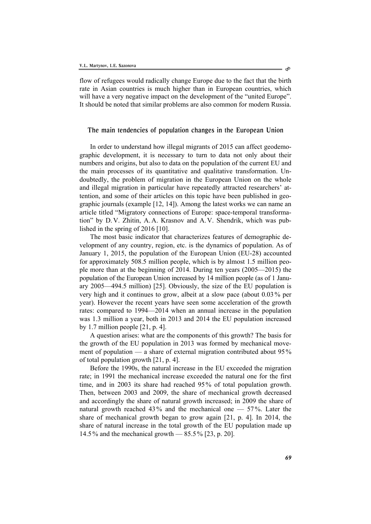flow of refugees would radically change Europe due to the fact that the birth rate in Asian countries is much higher than in European countries, which will have a very negative impact on the development of the "united Europe". It should be noted that similar problems are also common for modern Russia.

### The main tendencies of population changes in the European Union

In order to understand how illegal migrants of 2015 can affect geodemographic development, it is necessary to turn to data not only about their numbers and origins, but also to data on the population of the current EU and the main processes of its quantitative and qualitative transformation. Undoubtedly, the problem of migration in the European Union on the whole and illegal migration in particular have repeatedly attracted researchers' attention, and some of their articles on this topic have been published in geographic journals (example [12, 14]). Among the latest works we can name an article titled "Migratory connections of Europe: spaсe-temporal transformation" by D.V. Zhitin, A.A. Krasnov and A.V. Shendrik, which was published in the spring of 2016 [10].

The most basic indicator that characterizes features of demographic development of any country, region, etc. is the dynamics of population. As of January 1, 2015, the population of the European Union (EU-28) accounted for approximately 508.5 million people, which is by almost 1.5 million people more than at the beginning of 2014. During ten years (2005—2015) the population of the European Union increased by 14 million people (as of 1 January 2005—494.5 million) [25]. Obviously, the size of the EU population is very high and it continues to grow, albeit at a slow pace (about 0.03% per year). However the recent years have seen some acceleration of the growth rates: compared to 1994—2014 when an annual increase in the population was 1.3 million a year, both in 2013 and 2014 the EU population increased by 1.7 million people [21, p. 4].

A question arises: what are the components of this growth? The basis for the growth of the EU population in 2013 was formed by mechanical movement of population — a share of external migration contributed about 95% of total population growth [21, p. 4].

Before the 1990s, the natural increase in the EU exceeded the migration rate; in 1991 the mechanical increase exceeded the natural one for the first time, and in 2003 its share had reached 95% of total population growth. Then, between 2003 and 2009, the share of mechanical growth decreased and accordingly the share of natural growth increased; in 2009 the share of natural growth reached  $43\%$  and the mechanical one  $-57\%$ . Later the share of mechanical growth began to grow again [21, p. 4]. In 2014, the share of natural increase in the total growth of the EU population made up 14.5 % and the mechanical growth — 85.5% [23, p. 20].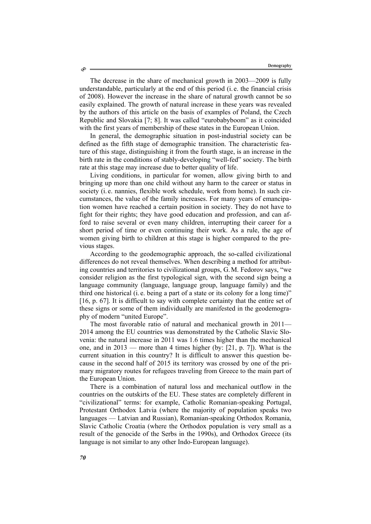The decrease in the share of mechanical growth in 2003—2009 is fully understandable, particularly at the end of this period (i. e. the financial crisis of 2008). However the increase in the share of natural growth cannot be so easily explained. The growth of natural increase in these years was revealed by the authors of this article on the basis of examples of Poland, the Czech Republic and Slovakia [7; 8]. It was called "eurobabyboom" as it coincided with the first years of membership of these states in the European Union.

In general, the demographic situation in post-industrial society can be defined as the fifth stage of demographic transition. The characteristic feature of this stage, distinguishing it from the fourth stage, is an increase in the birth rate in the conditions of stably-developing "well-fed" society. The birth rate at this stage may increase due to better quality of life.

Living conditions, in particular for women, allow giving birth to and bringing up more than one child without any harm to the career or status in society (i. e. nannies, flexible work schedule, work from home). In such circumstances, the value of the family increases. For many years of emancipation women have reached a certain position in society. They do not have to fight for their rights; they have good education and profession, and can afford to raise several or even many children, interrupting their career for a short period of time or even continuing their work. As a rule, the age of women giving birth to children at this stage is higher compared to the previous stages.

According to the geodemographic approach, the so-called civilizational differences do not reveal themselves. When describing a method for attributing countries and territories to civilizational groups, G.M. Fedorov says, "we consider religion as the first typological sign, with the second sign being a language community (language, language group, language family) and the third one historical (i. e. being a part of a state or its colony for a long time)" [16, p. 67]. It is difficult to say with complete certainty that the entire set of these signs or some of them individually are manifested in the geodemography of modern "united Europe".

The most favorable ratio of natural and mechanical growth in 2011— 2014 among the EU countries was demonstrated by the Catholic Slavic Slovenia: the natural increase in 2011 was 1.6 times higher than the mechanical one, and in 2013 — more than 4 times higher (by: [21, p. 7]). What is the current situation in this country? It is difficult to answer this question because in the second half of 2015 its territory was crossed by one of the primary migratory routes for refugees traveling from Greece to the main part of the European Union.

There is a combination of natural loss and mechanical outflow in the countries on the outskirts of the EU. These states are completely different in "civilizational" terms: for example, Catholic Romanian-speaking Portugal, Protestant Orthodox Latvia (where the majority of population speaks two languages — Latvian and Russian), Romanian-speaking Orthodox Romania, Slavic Catholic Croatia (where the Orthodox population is very small as a result of the genocide of the Serbs in the 1990s), and Orthodox Greece (its language is not similar to any other Indo-European language).

Ò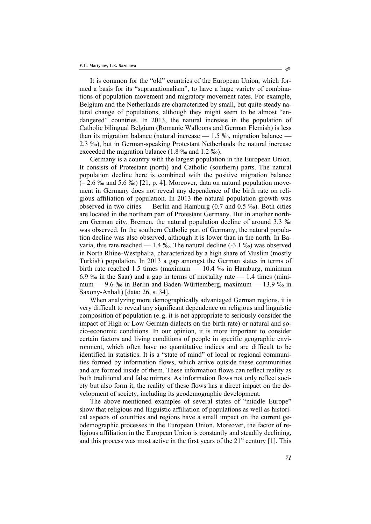It is common for the "old" countries of the European Union, which formed a basis for its "supranationalism", to have a huge variety of combinations of population movement and migratory movement rates. For example, Belgium and the Netherlands are characterized by small, but quite steady natural change of populations, although they might seem to be almost "endangered" countries. In 2013, the natural increase in the population of Catholic bilingual Belgium (Romanic Walloons and German Flemish) is less than its migration balance (natural increase  $-1.5\%$ , migration balance  $-$ 2.3 ‰), but in German-speaking Protestant Netherlands the natural increase exceeded the migration balance (1.8 ‰ and 1.2 ‰).

Germany is a country with the largest population in the European Union. It consists of Protestant (north) and Catholic (southern) parts. The natural population decline here is combined with the positive migration balance  $(-2.6\%$  and  $5.6\%$ ) [21, p. 4]. Moreover, data on natural population movement in Germany does not reveal any dependence of the birth rate on religious affiliation of population. In 2013 the natural population growth was observed in two cities — Berlin and Hamburg (0.7 and 0.5 ‰). Both cities are located in the northern part of Protestant Germany. But in another northern German city, Bremen, the natural population decline of around 3.3 ‰ was observed. In the southern Catholic part of Germany, the natural population decline was also observed, although it is lower than in the north. In Bavaria, this rate reached — 1.4 ‰. The natural decline (-3.1 ‰) was observed in North Rhine-Westphalia, characterized by a high share of Muslim (mostly Turkish) population. In 2013 a gap amongst the German states in terms of birth rate reached 1.5 times (maximum — 10.4 ‰ in Hamburg, minimum 6.9 ‰ in the Saar) and a gap in terms of mortality rate  $-1.4$  times (minimum — 9.6 ‰ in Berlin and Baden-Württemberg, maximum — 13.9 ‰ in Saxony-Anhalt) [data: 26, s. 34].

When analyzing more demographically advantaged German regions, it is very difficult to reveal any significant dependence on religious and linguistic composition of population (e. g. it is not appropriate to seriously consider the impact of High or Low German dialects on the birth rate) or natural and socio-economic conditions. In our opinion, it is more important to consider certain factors and living conditions of people in specific geographic environment, which often have no quantitative indices and are difficult to be identified in statistics. It is a "state of mind" of local or regional communities formed by information flows, which arrive outside these communities and are formed inside of them. These information flows can reflect reality as both traditional and false mirrors. As information flows not only reflect society but also form it, the reality of these flows has a direct impact on the development of society, including its geodemographic development.

The above-mentioned examples of several states of "middle Europe" show that religious and linguistic affiliation of populations as well as historical aspects of countries and regions have a small impact on the current geodemographic processes in the European Union. Moreover, the factor of religious affiliation in the European Union is constantly and steadily declining, and this process was most active in the first years of the  $21<sup>st</sup>$  century [1]. This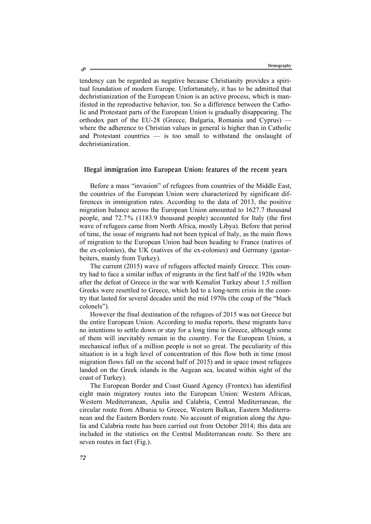tendency can be regarded as negative because Christianity provides a spiritual foundation of modern Europe. Unfortunately, it has to be admitted that dechristianization of the European Union is an active process, which is manifested in the reproductive behavior, too. So a difference between the Catholic and Protestant parts of the European Union is gradually disappearing. The orthodox part of the EU-28 (Greece, Bulgaria, Romania and Cyprus) where the adherence to Christian values in general is higher than in Catholic and Protestant countries — is too small to withstand the onslaught of dechristianization.

## Illegal immigration into European Union: features of the recent years

Before a mass "invasion" of refugees from countries of the Middle East, the countries of the European Union were characterized by significant differences in immigration rates. According to the data of 2013, the positive migration balance across the European Union amounted to 1627.7 thousand people, and 72.7% (1183.9 thousand people) accounted for Italy (the first wave of refugees came from North Africa, mostly Libya). Before that period of time, the issue of migrants had not been typical of Italy, as the main flows of migration to the European Union had been heading to France (natives of the ex-colonies), the UK (natives of the ex-colonies) and Germany (gastarbeiters, mainly from Turkey).

The current (2015) wave of refugees affected mainly Greece. This country had to face a similar influx of migrants in the first half of the 1920s when after the defeat of Greece in the war with Kemalist Turkey about 1.5 million Greeks were resettled to Greece, which led to a long-term crisis in the country that lasted for several decades until the mid 1970s (the coup of the "black colonels").

However the final destination of the refugees of 2015 was not Greece but the entire European Union. According to media reports, these migrants have no intentions to settle down or stay for a long time in Greece, although some of them will inevitably remain in the country. For the European Union, a mechanical influx of a million people is not so great. The peculiarity of this situation is in a high level of concentration of this flow both in time (most migration flows fall on the second half of 2015) and in space (most refugees landed on the Greek islands in the Aegean sea, located within sight of the coast of Turkey).

The European Border and Coast Guard Agency (Frontex) has identified eight main migratory routes into the European Union: Western African, Western Mediterranean, Apulia and Calabria, Central Mediterranean, the circular route from Albania to Greece, Western Balkan, Eastern Mediterranean and the Eastern Borders route. No account of migration along the Apulia and Calabria route has been carried out from October 2014; this data are included in the statistics on the Central Mediterranean route. So there are seven routes in fact (Fig.).

ھ،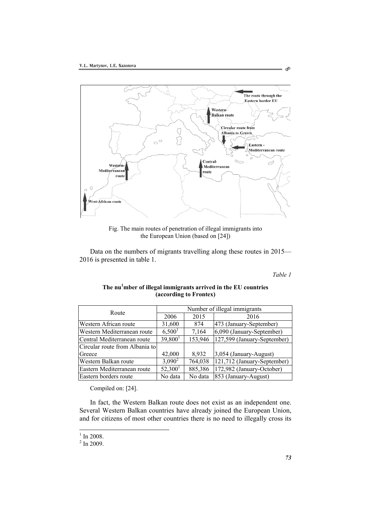

Fig. The main routes of penetration of illegal immigrants into the European Union (based on [24])

Data on the numbers of migrants travelling along these routes in 2015— 2016 is presented in table 1.

*Table 1* 

 $\hat{\mathcal{O}}$ 

| Route                          | Number of illegal immigrants |         |                             |
|--------------------------------|------------------------------|---------|-----------------------------|
|                                | 2006                         | 2015    | 2016                        |
| Western African route          | 31,600                       | 874     | 473 (January-September)     |
| Western Mediterranean route    | 6,500 <sup>1</sup>           | 7,164   | 6,090 (January-September)   |
| Central Mediterranean route    | 39,800 <sup>1</sup>          | 153,946 | 127,599 (January-September) |
| Circular route from Albania to |                              |         |                             |
| Greece                         | 42,000                       | 8,932   | 3,054 (January-August)      |
| Western Balkan route           | $3,090^2$                    | 764,038 | 121,712 (January-September) |
| Eastern Mediterranean route    | 52,300 <sup>1</sup>          | 885,386 | 172,982 (January-October)   |
| Eastern borders route          | No data                      | No data | 853 (January-August)        |

## The nu<sup>1</sup>mber of illegal immigrants arrived in the EU countries **(according to Frontex)**

Compiled on: [24].

In fact, the Western Balkan route does not exist as an independent one. Several Western Balkan countries have already joined the European Union, and for citizens of most other countries there is no need to illegally cross its

 $\frac{1}{2}$  In 2008.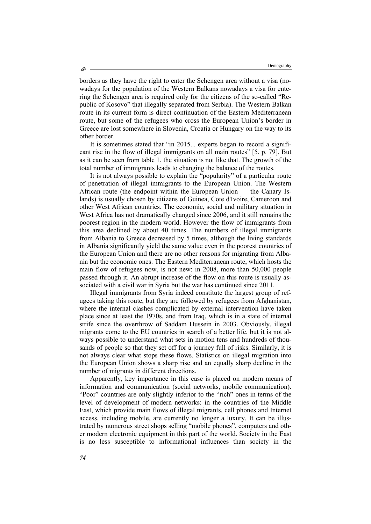borders as they have the right to enter the Schengen area without a visa (nowadays for the population of the Western Balkans nowadays a visa for entering the Schengen area is required only for the citizens of the so-called "Republic of Kosovo" that illegally separated from Serbia). The Western Balkan route in its current form is direct continuation of the Eastern Mediterranean route, but some of the refugees who cross the European Union's border in Greece are lost somewhere in Slovenia, Croatia or Hungary on the way to its other border.

It is sometimes stated that "in 2015... experts began to record a significant rise in the flow of illegal immigrants on all main routes" [5, p. 79]. But as it can be seen from table 1, the situation is not like that. The growth of the total number of immigrants leads to changing the balance of the routes.

It is not always possible to explain the "popularity" of a particular route of penetration of illegal immigrants to the European Union. The Western African route (the endpoint within the European Union — the Canary Islands) is usually chosen by citizens of Guinea, Cote d'Ivoire, Cameroon and other West African countries. The economic, social and military situation in West Africa has not dramatically changed since 2006, and it still remains the poorest region in the modern world. However the flow of immigrants from this area declined by about 40 times. The numbers of illegal immigrants from Albania to Greece decreased by 5 times, although the living standards in Albania significantly yield the same value even in the poorest countries of the European Union and there are no other reasons for migrating from Albania but the economic ones. The Eastern Mediterranean route, which hosts the main flow of refugees now, is not new: in 2008, more than 50,000 people passed through it. An abrupt increase of the flow on this route is usually associated with a civil war in Syria but the war has continued since 2011.

Illegal immigrants from Syria indeed constitute the largest group of refugees taking this route, but they are followed by refugees from Afghanistan, where the internal clashes complicated by external intervention have taken place since at least the 1970s, and from Iraq, which is in a state of internal strife since the overthrow of Saddam Hussein in 2003. Obviously, illegal migrants come to the EU countries in search of a better life, but it is not always possible to understand what sets in motion tens and hundreds of thousands of people so that they set off for a journey full of risks. Similarly, it is not always clear what stops these flows. Statistics on illegal migration into the European Union shows a sharp rise and an equally sharp decline in the number of migrants in different directions.

Apparently, key importance in this case is placed on modern means of information and communication (social networks, mobile communication). "Poor" countries are only slightly inferior to the "rich" ones in terms of the level of development of modern networks: in the countries of the Middle East, which provide main flows of illegal migrants, cell phones and Internet access, including mobile, are currently no longer a luxury. It can be illustrated by numerous street shops selling "mobile phones", computers and other modern electronic equipment in this part of the world. Society in the East is no less susceptible to informational influences than society in the

Ò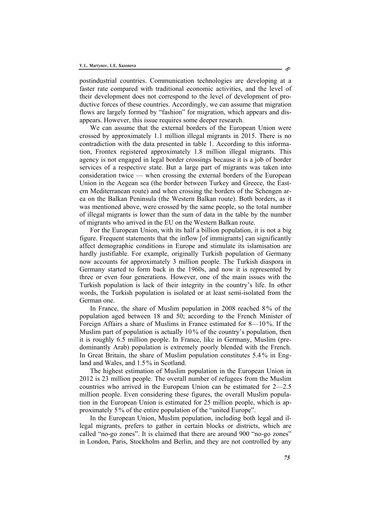postindustrial countries. Communication technologies are developing at a faster rate compared with traditional economic activities, and the level of their development does not correspond to the level of development of productive forces of these countries. Accordingly, we can assume that migration flows are largely formed by "fashion" for migration, which appears and disappears. However, this issue requires some deeper research.

We can assume that the external borders of the European Union were crossed by approximately 1.1 million illegal migrants in 2015. There is no contradiction with the data presented in table 1. According to this information, Frontex registered approximately 1.8 million illegal migrants. This agency is not engaged in legal border crossings because it is a job of border services of a respective state. But a large part of migrants was taken into consideration twice — when crossing the external borders of the European Union in the Aegean sea (the border between Turkey and Greece, the Eastern Mediterranean route) and when crossing the borders of the Schengen area on the Balkan Peninsula (the Western Balkan route). Both borders, as it was mentioned above, were crossed by the same people, so the total number of illegal migrants is lower than the sum of data in the table by the number of migrants who arrived in the EU on the Western Balkan route.

For the European Union, with its half a billion population, it is not a big figure. Frequent statements that the inflow [of immigrants] can significantly affect demographic conditions in Europe and stimulate its islamisation are hardly justifiable. For example, originally Turkish population of Germany now accounts for approximately 3 million people. The Turkish diaspora in Germany started to form back in the 1960s, and now it is represented by three or even four generations. However, one of the main issues with the Turkish population is lack of their integrity in the country's life. In other words, the Turkish population is isolated or at least semi-isolated from the German one.

In France, the share of Muslim population in 2008 reached 8 % of the population aged between 18 and 50; according to the French Minister of Foreign Affairs a share of Muslims in France estimated for 8—10%. If the Muslim part of population is actually 10% of the country's population, then it is roughly 6.5 million people. In France, like in Germany, Muslim (predominantly Arab) population is extremely poorly blended with the French. In Great Britain, the share of Muslim population constitutes 5.4% in England and Wales, and 1.5% in Scotland.

The highest estimation of Muslim population in the European Union in 2012 is 23 million people. The overall number of refugees from the Muslim countries who arrived in the European Union can be estimated for 2—2.5 million people. Even considering these figures, the overall Muslim population in the European Union is estimated for 25 million people, which is approximately 5% of the entire population of the "united Europe".

In the European Union, Muslim population, including both legal and illegal migrants, prefers to gather in certain blocks or districts, which are called "no-go zones". It is claimed that there are around 900 "no-go zones" in London, Paris, Stockholm and Berlin, and they are not controlled by any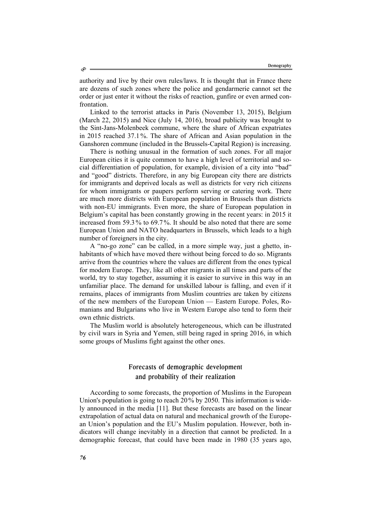authority and live by their own rules/laws. It is thought that in France there are dozens of such zones where the police and gendarmerie cannot set the order or just enter it without the risks of reaction, gunfire or even armed confrontation.

Linked to the terrorist attacks in Paris (November 13, 2015), Belgium (March 22, 2015) and Nice (July 14, 2016), broad publicity was brought to the Sint-Jans-Molenbeek commune, where the share of African expatriates in 2015 reached 37.1%. The share of African and Asian population in the Ganshoren commune (included in the Brussels-Capital Region) is increasing.

There is nothing unusual in the formation of such zones. For all major European cities it is quite common to have a high level of territorial and social differentiation of population, for example, division of a city into "bad" and "good" districts. Therefore, in any big European city there are districts for immigrants and deprived locals as well as districts for very rich citizens for whom immigrants or paupers perform serving or catering work. There are much more districts with European population in Brussels than districts with non-EU immigrants. Even more, the share of European population in Belgium's capital has been constantly growing in the recent years: in 2015 it increased from 59.3 % to 69.7 %. It should be also noted that there are some European Union and NATO headquarters in Brussels, which leads to a high number of foreigners in the city.

A "no-go zone" can be called, in a more simple way, just a ghetto, inhabitants of which have moved there without being forced to do so. Migrants arrive from the countries where the values are different from the ones typical for modern Europe. They, like all other migrants in all times and parts of the world, try to stay together, assuming it is easier to survive in this way in an unfamiliar place. The demand for unskilled labour is falling, and even if it remains, places of immigrants from Muslim countries are taken by citizens of the new members of the European Union — Eastern Europe. Poles, Romanians and Bulgarians who live in Western Europe also tend to form their own ethnic districts.

The Muslim world is absolutely heterogeneous, which can be illustrated by civil wars in Syria and Yemen, still being raged in spring 2016, in which some groups of Muslims fight against the other ones.

## Forecasts of demographic development and probability of their realization

According to some forecasts, the proportion of Muslims in the European Union's population is going to reach 20% by 2050. This information is widely announced in the media [11]. But these forecasts are based on the linear extrapolation of actual data on natural and mechanical growth of the European Union's population and the EU's Muslim population. However, both indicators will change inevitably in a direction that cannot be predicted. In a demographic forecast, that could have been made in 1980 (35 years ago,

ھ،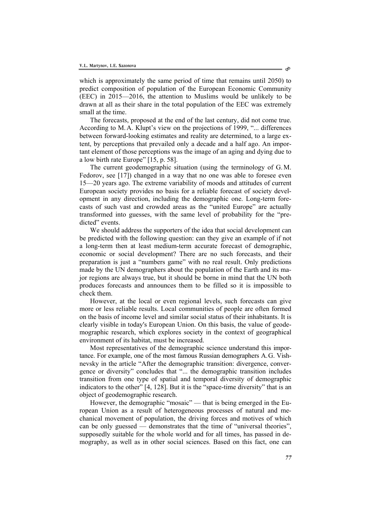which is approximately the same period of time that remains until 2050) to predict composition of population of the European Economic Community (EEC) in 2015—2016, the attention to Muslims would be unlikely to be drawn at all as their share in the total population of the EEC was extremely small at the time.

The forecasts, proposed at the end of the last century, did not come true. According to M.A. Klupt's view on the projections of 1999, "... differences between forward-looking estimates and reality are determined, to a large extent, by perceptions that prevailed only a decade and a half ago. An important element of those perceptions was the image of an aging and dying due to a low birth rate Europe" [15, p. 58].

The current geodemographic situation (using the terminology of G.M. Fedorov, see [17]) changed in a way that no one was able to foresee even 15—20 years ago. The extreme variability of moods and attitudes of current European society provides no basis for a reliable forecast of society development in any direction, including the demographic one. Long-term forecasts of such vast and crowded areas as the "united Europe" are actually transformed into guesses, with the same level of probability for the "predicted" events.

We should address the supporters of the idea that social development can be predicted with the following question: can they give an example of if not a long-term then at least medium-term accurate forecast of demographic, economic or social development? There are no such forecasts, and their preparation is just a "numbers game" with no real result. Only predictions made by the UN demographers about the population of the Earth and its major regions are always true, but it should be borne in mind that the UN both produces forecasts and announces them to be filled so it is impossible to check them.

However, at the local or even regional levels, such forecasts can give more or less reliable results. Local communities of people are often formed on the basis of income level and similar social status of their inhabitants. It is clearly visible in today's European Union. On this basis, the value of geodemographic research, which explores society in the context of geographical environment of its habitat, must be increased.

Most representatives of the demographic science understand this importance. For example, one of the most famous Russian demographers A.G. Vishnevsky in the article "After the demographic transition: divergence, convergence or diversity" concludes that "... the demographic transition includes transition from one type of spatial and temporal diversity of demographic indicators to the other" [4, 128]. But it is the "space-time diversity" that is an object of geodemographic research.

However, the demographic "mosaic" — that is being emerged in the European Union as a result of heterogeneous processes of natural and mechanical movement of population, the driving forces and motives of which can be only guessed — demonstrates that the time of "universal theories", supposedly suitable for the whole world and for all times, has passed in demography, as well as in other social sciences. Based on this fact, one can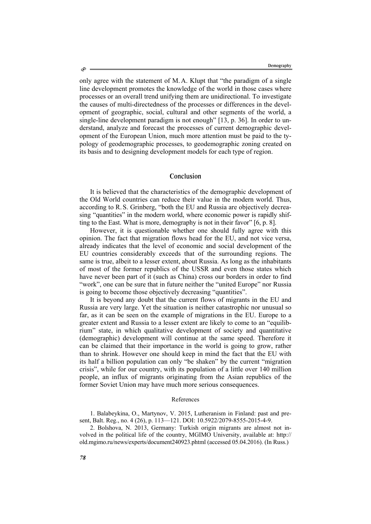only agree with the statement of M.A. Klupt that "the paradigm of a single line development promotes the knowledge of the world in those cases where processes or an overall trend unifying them are unidirectional. To investigate the causes of multi-directedness of the processes or differences in the development of geographic, social, cultural and other segments of the world, a single-line development paradigm is not enough" [13, p. 36]. In order to understand, analyze and forecast the processes of current demographic development of the European Union, much more attention must be paid to the typology of geodemographic processes, to geodemographic zoning created on its basis and to designing development models for each type of region.

### Conclusion

It is believed that the characteristics of the demographic development of the Old World countries can reduce their value in the modern world. Thus, according to R.S. Grinberg, "both the EU and Russia are objectively decreasing "quantities" in the modern world, where economic power is rapidly shifting to the East. What is more, demography is not in their favor" [6, p. 8].

However, it is questionable whether one should fully agree with this opinion. The fact that migration flows head for the EU, and not vice versa, already indicates that the level of economic and social development of the EU countries considerably exceeds that of the surrounding regions. The same is true, albeit to a lesser extent, about Russia. As long as the inhabitants of most of the former republics of the USSR and even those states which have never been part of it (such as China) cross our borders in order to find "work", one can be sure that in future neither the "united Europe" nor Russia is going to become those objectively decreasing "quantities".

It is beyond any doubt that the current flows of migrants in the EU and Russia are very large. Yet the situation is neither catastrophic nor unusual so far, as it can be seen on the example of migrations in the EU. Europe to a greater extent and Russia to a lesser extent are likely to come to an "equilibrium" state, in which qualitative development of society and quantitative (demographic) development will continue at the same speed. Therefore it can be claimed that their importance in the world is going to grow, rather than to shrink. However one should keep in mind the fact that the EU with its half a billion population can only "be shaken" by the current "migration crisis", while for our country, with its population of a little over 140 million people, an influx of migrants originating from the Asian republics of the former Soviet Union may have much more serious consequences.

#### References

1. Balabeykina, O., Martynov, V. 2015, Lutheranism in Finland: past and present, Balt. Reg., no. 4 (26), p. 113—121. DOI: 10.5922/2079-8555-2015-4-9.

2. Bolshova, N. 2013, Germany: Turkish origin migrants are almost not involved in the political life of the country, MGIMO University, available at: http:// old.mgimo.ru/news/experts/document240923.phtml (accessed 05.04.2016). (In Russ.)

ھ،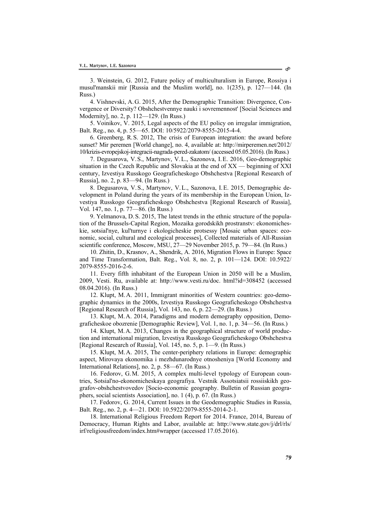3. Weinstein, G. 2012, Future policy of multiculturalism in Europe, Rossiya i musul'manskii mir [Russia and the Muslim world], no. 1(235), p. 127—144. (In Russ.)

4. Vishnevski, А.G. 2015, After the Demographic Transition: Divergence, Convergence or Diversity? Obshchestvennye nauki i sovremennost' [Social Sciences and Modernity], no. 2, p. 112—129. (In Russ.)

5. Voinikov, V. 2015, Legal aspects of the EU policy on irregular immigration, Balt. Reg., no. 4, p. 55—65. DOI: 10/5922/2079-8555-2015-4-4.

6. Greenberg, R.S. 2012, The crisis of European integration: the award before sunset? Mir peremen [World change], no. 4, available at: http://mirperemen.net/2012/ 10/krizis-evropejskoj-integracii-nagrada-pered-zakatom/ (accessed 05.05.2016). (In Russ.)

7. Degusarova, V.S., Martynov, V.L., Sazonova, I.E. 2016, Geo-demographic situation in the Czech Republic and Slovakia at the end of XX — beginning of XXI century, Izvestiya Russkogo Geograficheskogo Obshchestva [Regional Research of Russia], no. 2, p. 83—94. (In Russ.)

8. Degusarova, V.S., Martynov, V.L., Sazonova, I.E. 2015, Demographic development in Poland during the years of its membership in the European Union, Izvestiya Russkogo Geograficheskogo Obshchestva [Regional Research of Russia], Vol. 147, no. 1, p. 77—86. (In Russ.)

9. Yelmanova, D.S. 2015, The latest trends in the ethnic structure of the population of the Brussels-Capital Region, Mozaika gorodskikh prostranstv: ekonomicheskie, sotsial'nye, kul'turnye i ekologicheskie protsessy [Mosaic urban spaces: economic, social, cultural and ecological processes], Collected materials of All-Russian scientific conference, Moscow, MSU, 27—29 November 2015, p. 79—84. (In Russ.)

10. Zhitin, D., Krasnov, A., Shendrik, A. 2016, Migration Flows in Europe: Space and Time Transformation, Balt. Reg., Vol. 8, no. 2, p. 101—124. DOI: 10.5922/ 2079-8555-2016-2-6.

11. Every fifth inhabitant of the European Union in 2050 will be a Muslim, 2009, Vesti. Ru, available at: http://www.vesti.ru/doc. html?id=308452 (accessed 08.04.2016). (In Russ.)

12. Klupt, M.А. 2011, Immigrant minorities of Western countries: geo-demographic dynamics in the 2000s, Izvestiya Russkogo Geograficheskogo Obshchestva [Regional Research of Russia], Vol. 143, no. 6, p. 22—29. (In Russ.)

13. Klupt, M.А. 2014, Paradigms and modern demography opposition, Demograficheskoe obozrenie [Demographic Review], Vol. 1, no. 1, p. 34—56. (In Russ.)

14. Klupt, M.А. 2013, Changes in the geographical structure of world production and international migration, Izvestiya Russkogo Geograficheskogo Obshchestva [Regional Research of Russia], Vol. 145, no. 5, p. 1—9. (In Russ.)

15. Klupt, M.А. 2015, The center-periphery relations in Europe: demographic aspect, Mirovaya ekonomika i mezhdunarodnye otnosheniya [World Economy and International Relations], no. 2, p. 58—67. (In Russ.)

16. Fedorov, G.М. 2015, A complex multi-level typology of European countries, Sotsial'no-ekonomicheskaya geografiya. Vestnik Assotsiatsii rossiiskikh geografov-obshchestvovedov [Socio-economic geography. Bulletin of Russian geographers, social scientists Association], no. 1 (4), p. 67. (In Russ.)

17. Fedorov, G. 2014, Current Issues in the Geodemographic Studies in Russia, Balt. Reg., no. 2, p. 4—21. DOI: 10.5922/2079-8555-2014-2-1.

18. International Religious Freedom Report for 2014. France, 2014, Bureau of Democracy, Human Rights and Labor, available at: http://www.state.gov/j/drl/rls/ irf/religiousfreedom/index.htm#wrapper (accessed 17.05.2016).